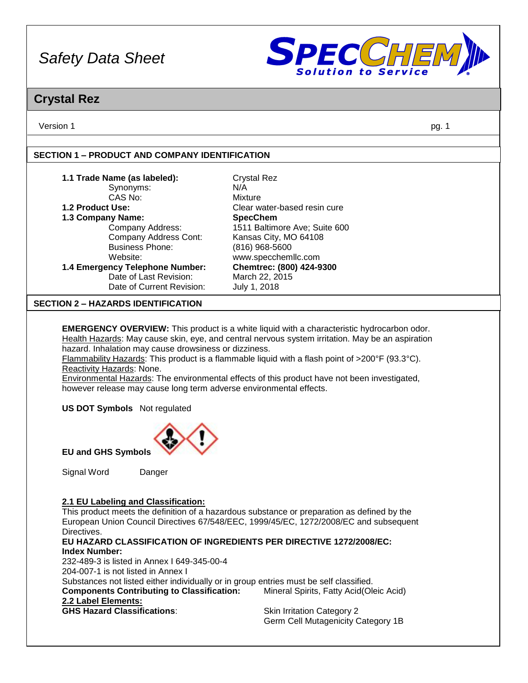

# **Crystal Rez**

Version 1 pg. 1

# **SECTION 1 – PRODUCT AND COMPANY IDENTIFICATION**

| 1.1 Trade Name (as labeled):              | <b>Crystal Rez</b>            |
|-------------------------------------------|-------------------------------|
|                                           |                               |
| Synonyms:                                 | N/A                           |
| CAS No:                                   | Mixture                       |
| 1.2 Product Use:                          | Clear water-based resin cure  |
| 1.3 Company Name:                         | <b>SpecChem</b>               |
| Company Address:                          | 1511 Baltimore Ave; Suite 600 |
| Company Address Cont:                     | Kansas City, MO 64108         |
| <b>Business Phone:</b>                    | (816) 968-5600                |
| Website:                                  | www.specchemllc.com           |
| 1.4 Emergency Telephone Number:           | Chemtrec: (800) 424-9300      |
| Date of Last Revision:                    | March 22, 2015                |
| Date of Current Revision:                 | July 1, 2018                  |
| <b>SECTION 2 - HAZARDS IDENTIFICATION</b> |                               |
|                                           |                               |

**EMERGENCY OVERVIEW:** This product is a white liquid with a characteristic hydrocarbon odor. Health Hazards: May cause skin, eye, and central nervous system irritation. May be an aspiration hazard. Inhalation may cause drowsiness or dizziness.

Flammability Hazards: This product is a flammable liquid with a flash point of >200°F (93.3°C). Reactivity Hazards: None.

Environmental Hazards: The environmental effects of this product have not been investigated, however release may cause long term adverse environmental effects.

**US DOT Symbols** Not regulated



**EU and GHS Symbols**

Signal Word Danger

**2.1 EU Labeling and Classification:**

This product meets the definition of a hazardous substance or preparation as defined by the European Union Council Directives 67/548/EEC, 1999/45/EC, 1272/2008/EC and subsequent Directives.

#### **EU HAZARD CLASSIFICATION OF INGREDIENTS PER DIRECTIVE 1272/2008/EC: Index Number:** 232-489-3 is listed in Annex I 649-345-00-4

204-007-1 is not listed in Annex I

Substances not listed either individually or in group entries must be self classified. **Components Contributing to Classification:** Mineral Spirits, Fatty Acid(Oleic Acid) **2.2 Label Elements: GHS Hazard Classifications:** Skin Irritation Category 2

Germ Cell Mutagenicity Category 1B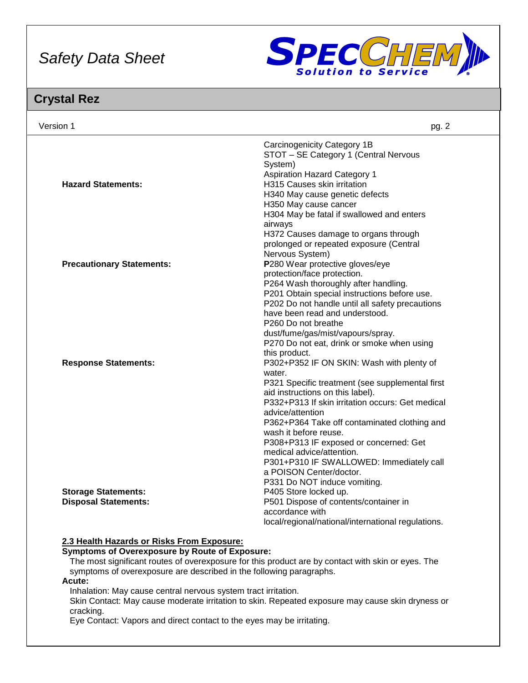

# **Crystal Rez**

| Version 1                        | pg. 2                                                                                                                                                                                                                                                                                       |
|----------------------------------|---------------------------------------------------------------------------------------------------------------------------------------------------------------------------------------------------------------------------------------------------------------------------------------------|
| <b>Hazard Statements:</b>        | Carcinogenicity Category 1B<br>STOT - SE Category 1 (Central Nervous<br>System)<br><b>Aspiration Hazard Category 1</b><br>H315 Causes skin irritation<br>H340 May cause genetic defects<br>H350 May cause cancer<br>H304 May be fatal if swallowed and enters                               |
| <b>Precautionary Statements:</b> | airways<br>H372 Causes damage to organs through<br>prolonged or repeated exposure (Central<br>Nervous System)<br>P280 Wear protective gloves/eye<br>protection/face protection.<br>P264 Wash thoroughly after handling.                                                                     |
|                                  | P201 Obtain special instructions before use.<br>P202 Do not handle until all safety precautions<br>have been read and understood.<br>P260 Do not breathe<br>dust/fume/gas/mist/vapours/spray.<br>P270 Do not eat, drink or smoke when using<br>this product.                                |
| <b>Response Statements:</b>      | P302+P352 IF ON SKIN: Wash with plenty of<br>water.<br>P321 Specific treatment (see supplemental first<br>aid instructions on this label).<br>P332+P313 If skin irritation occurs: Get medical<br>advice/attention<br>P362+P364 Take off contaminated clothing and<br>wash it before reuse. |
| <b>Storage Statements:</b>       | P308+P313 IF exposed or concerned: Get<br>medical advice/attention.<br>P301+P310 IF SWALLOWED: Immediately call<br>a POISON Center/doctor.<br>P331 Do NOT induce vomiting.<br>P405 Store locked up.                                                                                         |
| <b>Disposal Statements:</b>      | P501 Dispose of contents/container in<br>accordance with<br>local/regional/national/international regulations.                                                                                                                                                                              |

# **2.3 Health Hazards or Risks From Exposure:**

#### **Symptoms of Overexposure by Route of Exposure:**

The most significant routes of overexposure for this product are by contact with skin or eyes. The symptoms of overexposure are described in the following paragraphs.

**Acute:**

Inhalation: May cause central nervous system tract irritation.

Skin Contact: May cause moderate irritation to skin. Repeated exposure may cause skin dryness or cracking.

Eye Contact: Vapors and direct contact to the eyes may be irritating.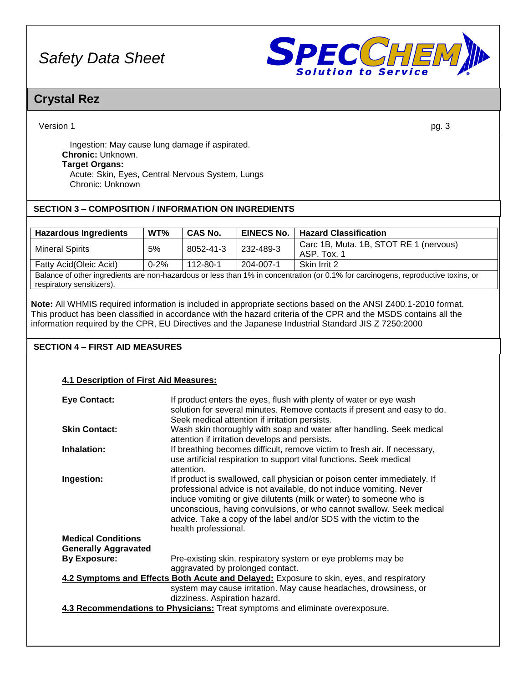

# **Crystal Rez**

Version 1 pg. 3

Ingestion: May cause lung damage if aspirated. **Chronic:** Unknown. **Target Organs:** Acute: Skin, Eyes, Central Nervous System, Lungs Chronic: Unknown

# **SECTION 3 – COMPOSITION / INFORMATION ON INGREDIENTS**

| <b>Hazardous Ingredients</b> | WT%      | <b>CAS No.</b> | <b>EINECS No.</b> | <b>Hazard Classification</b>                          |
|------------------------------|----------|----------------|-------------------|-------------------------------------------------------|
| <b>Mineral Spirits</b>       | 5%       | 8052-41-3      | 232-489-3         | Carc 1B, Muta. 1B, STOT RE 1 (nervous)<br>ASP. Tox. 1 |
| Fatty Acid(Oleic Acid)       | $0 - 2%$ | 112-80-1       | 204-007-1         | Skin Irrit 2                                          |

Balance of other ingredients are non-hazardous or less than 1% in concentration (or 0.1% for carcinogens, reproductive toxins, or respiratory sensitizers).

**Note:** All WHMIS required information is included in appropriate sections based on the ANSI Z400.1-2010 format. This product has been classified in accordance with the hazard criteria of the CPR and the MSDS contains all the information required by the CPR, EU Directives and the Japanese Industrial Standard JIS Z 7250:2000

# **SECTION 4 – FIRST AID MEASURES**

# **4.1 Description of First Aid Measures:**

| <b>Eye Contact:</b>         | If product enters the eyes, flush with plenty of water or eye wash<br>solution for several minutes. Remove contacts if present and easy to do.<br>Seek medical attention if irritation persists.                                                                                                                                                                                             |
|-----------------------------|----------------------------------------------------------------------------------------------------------------------------------------------------------------------------------------------------------------------------------------------------------------------------------------------------------------------------------------------------------------------------------------------|
| <b>Skin Contact:</b>        | Wash skin thoroughly with soap and water after handling. Seek medical<br>attention if irritation develops and persists.                                                                                                                                                                                                                                                                      |
| Inhalation:                 | If breathing becomes difficult, remove victim to fresh air. If necessary,<br>use artificial respiration to support vital functions. Seek medical<br>attention.                                                                                                                                                                                                                               |
| Ingestion:                  | If product is swallowed, call physician or poison center immediately. If<br>professional advice is not available, do not induce vomiting. Never<br>induce vomiting or give dilutents (milk or water) to someone who is<br>unconscious, having convulsions, or who cannot swallow. Seek medical<br>advice. Take a copy of the label and/or SDS with the victim to the<br>health professional. |
| <b>Medical Conditions</b>   |                                                                                                                                                                                                                                                                                                                                                                                              |
| <b>Generally Aggravated</b> |                                                                                                                                                                                                                                                                                                                                                                                              |
| <b>By Exposure:</b>         | Pre-existing skin, respiratory system or eye problems may be<br>aggravated by prolonged contact.                                                                                                                                                                                                                                                                                             |
|                             | 4.2 Symptoms and Effects Both Acute and Delayed: Exposure to skin, eyes, and respiratory                                                                                                                                                                                                                                                                                                     |
|                             | system may cause irritation. May cause headaches, drowsiness, or                                                                                                                                                                                                                                                                                                                             |
|                             | dizziness. Aspiration hazard.                                                                                                                                                                                                                                                                                                                                                                |
|                             | 4.3 Recommendations to Physicians: Treat symptoms and eliminate overexposure.                                                                                                                                                                                                                                                                                                                |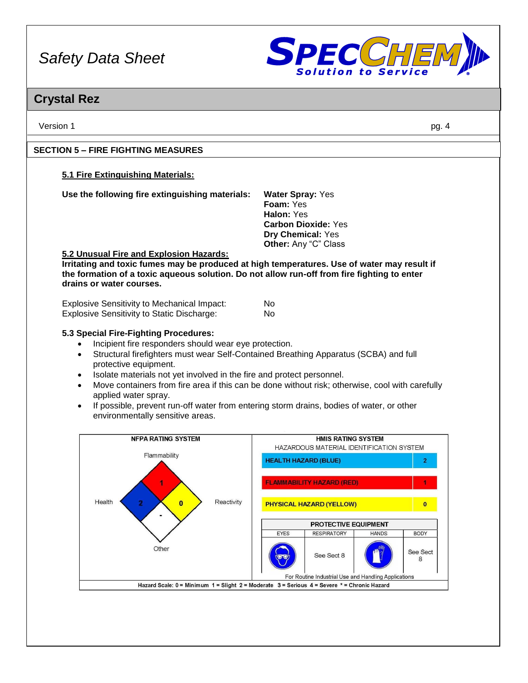

# **Crystal Rez**

Version 1 pg. 4

# **SECTION 5 – FIRE FIGHTING MEASURES**

# **5.1 Fire Extinguishing Materials:**

**Use the following fire extinguishing materials: Water Spray:** Yes

**Foam:** Yes **Halon:** Yes **Carbon Dioxide:** Yes **Dry Chemical:** Yes **Other:** Any "C" Class

# **5.2 Unusual Fire and Explosion Hazards:**

**Irritating and toxic fumes may be produced at high temperatures. Use of water may result if the formation of a toxic aqueous solution. Do not allow run-off from fire fighting to enter drains or water courses.**

| <b>Explosive Sensitivity to Mechanical Impact:</b> | No |
|----------------------------------------------------|----|
| Explosive Sensitivity to Static Discharge:         | No |

# **5.3 Special Fire-Fighting Procedures:**

- Incipient fire responders should wear eye protection.
- Structural firefighters must wear Self-Contained Breathing Apparatus (SCBA) and full protective equipment.
- Isolate materials not yet involved in the fire and protect personnel.
- Move containers from fire area if this can be done without risk; otherwise, cool with carefully applied water spray.
- If possible, prevent run-off water from entering storm drains, bodies of water, or other environmentally sensitive areas.

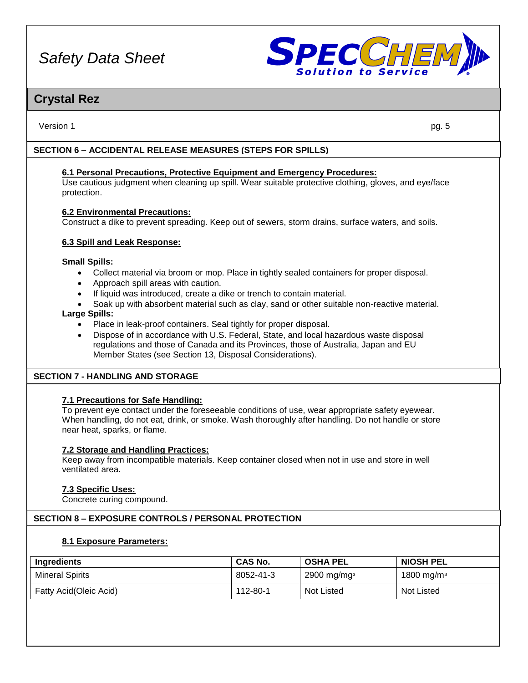

# **Crystal Rez**

Version 1 pg. 5

# **SECTION 6 – ACCIDENTAL RELEASE MEASURES (STEPS FOR SPILLS)**

**6.1 Personal Precautions, Protective Equipment and Emergency Procedures:** Use cautious judgment when cleaning up spill. Wear suitable protective clothing, gloves, and eye/face protection.

# **6.2 Environmental Precautions:**

Construct a dike to prevent spreading. Keep out of sewers, storm drains, surface waters, and soils.

# **6.3 Spill and Leak Response:**

### **Small Spills:**

- Collect material via broom or mop. Place in tightly sealed containers for proper disposal.
- Approach spill areas with caution.
- If liquid was introduced, create a dike or trench to contain material.
- Soak up with absorbent material such as clay, sand or other suitable non-reactive material.

# **Large Spills:**

- Place in leak-proof containers. Seal tightly for proper disposal.
- Dispose of in accordance with U.S. Federal, State, and local hazardous waste disposal regulations and those of Canada and its Provinces, those of Australia, Japan and EU Member States (see Section 13, Disposal Considerations).

# **SECTION 7 - HANDLING AND STORAGE**

# **7.1 Precautions for Safe Handling:**

To prevent eye contact under the foreseeable conditions of use, wear appropriate safety eyewear. When handling, do not eat, drink, or smoke. Wash thoroughly after handling. Do not handle or store near heat, sparks, or flame.

### **7.2 Storage and Handling Practices:**

Keep away from incompatible materials. Keep container closed when not in use and store in well ventilated area.

### **7.3 Specific Uses:**

Concrete curing compound.

# **SECTION 8 – EXPOSURE CONTROLS / PERSONAL PROTECTION**

### **8.1 Exposure Parameters:**

| Ingredients            | <b>CAS No.</b> | <b>OSHA PEL</b>           | <b>NIOSH PEL</b>       |
|------------------------|----------------|---------------------------|------------------------|
| <b>Mineral Spirits</b> | 8052-41-3      | $2900$ mg/mg <sup>3</sup> | 1800 mg/m <sup>3</sup> |
| Fatty Acid(Oleic Acid) | 112-80-1       | <b>Not Listed</b>         | <b>Not Listed</b>      |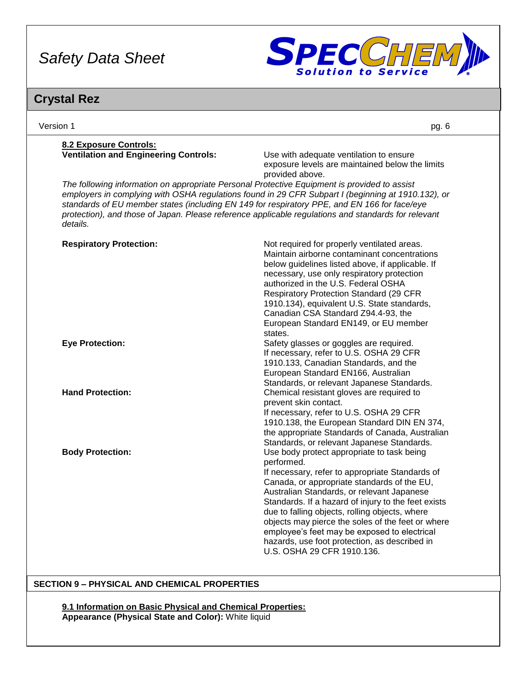

# **Crystal Rez**

| Version 1                                                                                                                                                                                                                                                                                                                                                                                                             | pg. 6                                                                                                                                                                                                                                                                                                                                                                                                                                                                                                 |
|-----------------------------------------------------------------------------------------------------------------------------------------------------------------------------------------------------------------------------------------------------------------------------------------------------------------------------------------------------------------------------------------------------------------------|-------------------------------------------------------------------------------------------------------------------------------------------------------------------------------------------------------------------------------------------------------------------------------------------------------------------------------------------------------------------------------------------------------------------------------------------------------------------------------------------------------|
| 8.2 Exposure Controls:<br><b>Ventilation and Engineering Controls:</b>                                                                                                                                                                                                                                                                                                                                                | Use with adequate ventilation to ensure<br>exposure levels are maintained below the limits<br>provided above.                                                                                                                                                                                                                                                                                                                                                                                         |
| The following information on appropriate Personal Protective Equipment is provided to assist<br>employers in complying with OSHA regulations found in 29 CFR Subpart I (beginning at 1910.132), or<br>standards of EU member states (including EN 149 for respiratory PPE, and EN 166 for face/eye<br>protection), and those of Japan. Please reference applicable regulations and standards for relevant<br>details. |                                                                                                                                                                                                                                                                                                                                                                                                                                                                                                       |
| <b>Respiratory Protection:</b>                                                                                                                                                                                                                                                                                                                                                                                        | Not required for properly ventilated areas.<br>Maintain airborne contaminant concentrations<br>below guidelines listed above, if applicable. If<br>necessary, use only respiratory protection<br>authorized in the U.S. Federal OSHA<br><b>Respiratory Protection Standard (29 CFR</b><br>1910.134), equivalent U.S. State standards,<br>Canadian CSA Standard Z94.4-93, the<br>European Standard EN149, or EU member<br>states.                                                                      |
| <b>Eye Protection:</b>                                                                                                                                                                                                                                                                                                                                                                                                | Safety glasses or goggles are required.<br>If necessary, refer to U.S. OSHA 29 CFR<br>1910.133, Canadian Standards, and the<br>European Standard EN166, Australian<br>Standards, or relevant Japanese Standards.                                                                                                                                                                                                                                                                                      |
| <b>Hand Protection:</b>                                                                                                                                                                                                                                                                                                                                                                                               | Chemical resistant gloves are required to<br>prevent skin contact.<br>If necessary, refer to U.S. OSHA 29 CFR<br>1910.138, the European Standard DIN EN 374,<br>the appropriate Standards of Canada, Australian<br>Standards, or relevant Japanese Standards.                                                                                                                                                                                                                                         |
| <b>Body Protection:</b>                                                                                                                                                                                                                                                                                                                                                                                               | Use body protect appropriate to task being<br>performed.<br>If necessary, refer to appropriate Standards of<br>Canada, or appropriate standards of the EU,<br>Australian Standards, or relevant Japanese<br>Standards. If a hazard of injury to the feet exists<br>due to falling objects, rolling objects, where<br>objects may pierce the soles of the feet or where<br>employee's feet may be exposed to electrical<br>hazards, use foot protection, as described in<br>U.S. OSHA 29 CFR 1910.136. |

# **SECTION 9 – PHYSICAL AND CHEMICAL PROPERTIES**

**9.1 Information on Basic Physical and Chemical Properties: Appearance (Physical State and Color):** White liquid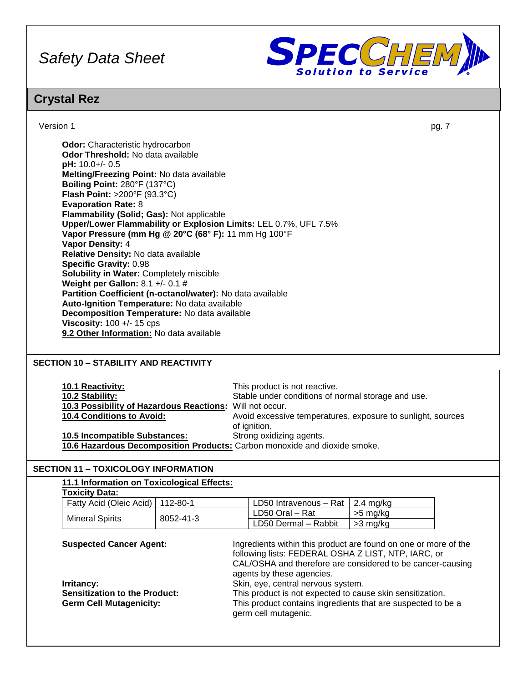

# **Crystal Rez**

Version 1 pg. 7

| <b>Odor Threshold:</b> No data available<br>$pH: 10.0+/0.5$<br>Melting/Freezing Point: No data available<br>Boiling Point: 280°F (137°C)<br><b>Flash Point: &gt;200°F (93.3°C)</b><br><b>Evaporation Rate: 8</b><br>Flammability (Solid; Gas): Not applicable<br>Upper/Lower Flammability or Explosion Limits: LEL 0.7%, UFL 7.5% |
|-----------------------------------------------------------------------------------------------------------------------------------------------------------------------------------------------------------------------------------------------------------------------------------------------------------------------------------|
|                                                                                                                                                                                                                                                                                                                                   |
|                                                                                                                                                                                                                                                                                                                                   |
|                                                                                                                                                                                                                                                                                                                                   |
|                                                                                                                                                                                                                                                                                                                                   |
|                                                                                                                                                                                                                                                                                                                                   |
|                                                                                                                                                                                                                                                                                                                                   |
|                                                                                                                                                                                                                                                                                                                                   |
|                                                                                                                                                                                                                                                                                                                                   |
| Vapor Pressure (mm Hg @ 20°C (68° F): 11 mm Hg 100°F                                                                                                                                                                                                                                                                              |
| <b>Vapor Density: 4</b>                                                                                                                                                                                                                                                                                                           |
| Relative Density: No data available                                                                                                                                                                                                                                                                                               |
| <b>Specific Gravity: 0.98</b>                                                                                                                                                                                                                                                                                                     |
| <b>Solubility in Water: Completely miscible</b>                                                                                                                                                                                                                                                                                   |
| <b>Weight per Gallon:</b> 8.1 +/- 0.1 #                                                                                                                                                                                                                                                                                           |
| Partition Coefficient (n-octanol/water): No data available                                                                                                                                                                                                                                                                        |
| Auto-Ignition Temperature: No data available                                                                                                                                                                                                                                                                                      |
| Decomposition Temperature: No data available                                                                                                                                                                                                                                                                                      |
| Viscosity: $100 +/- 15$ cps                                                                                                                                                                                                                                                                                                       |
| 9.2 Other Information: No data available                                                                                                                                                                                                                                                                                          |

# **SECTION 10 – STABILITY AND REACTIVITY**

| <b>10.1 Reactivity:</b>                                                   | This product is not reactive.                               |
|---------------------------------------------------------------------------|-------------------------------------------------------------|
| 10.2 Stability:                                                           | Stable under conditions of normal storage and use.          |
| 10.3 Possibility of Hazardous Reactions: Will not occur.                  |                                                             |
| <b>10.4 Conditions to Avoid:</b>                                          | Avoid excessive temperatures, exposure to sunlight, sources |
|                                                                           | of ignition.                                                |
| 10.5 Incompatible Substances:                                             | Strong oxidizing agents.                                    |
| 10.6 Hazardous Decomposition Products: Carbon monoxide and dioxide smoke. |                                                             |

# **SECTION 11 – TOXICOLOGY INFORMATION**

| 11.1 Information on Toxicological Effects:                                                                                                     |           |                                                                                                                                                                                                                                                                                                                                                                                      |
|------------------------------------------------------------------------------------------------------------------------------------------------|-----------|--------------------------------------------------------------------------------------------------------------------------------------------------------------------------------------------------------------------------------------------------------------------------------------------------------------------------------------------------------------------------------------|
| <b>Toxicity Data:</b>                                                                                                                          |           |                                                                                                                                                                                                                                                                                                                                                                                      |
| Fatty Acid (Oleic Acid)                                                                                                                        | 112-80-1  | $2.4 \text{ mg/kg}$<br>LD50 Intravenous - Rat                                                                                                                                                                                                                                                                                                                                        |
| <b>Mineral Spirits</b>                                                                                                                         | 8052-41-3 | LD50 Oral - Rat<br>>5 mg/kg                                                                                                                                                                                                                                                                                                                                                          |
|                                                                                                                                                |           | LD50 Dermal - Rabbit<br>$>3$ mg/kg                                                                                                                                                                                                                                                                                                                                                   |
| <b>Suspected Cancer Agent:</b><br>Irritancy:<br><b>Sensitization to the Product:</b><br><b>Germ Cell Mutagenicity:</b><br>germ cell mutagenic. |           | Ingredients within this product are found on one or more of the<br>following lists: FEDERAL OSHA Z LIST, NTP, IARC, or<br>CAL/OSHA and therefore are considered to be cancer-causing<br>agents by these agencies.<br>Skin, eye, central nervous system.<br>This product is not expected to cause skin sensitization.<br>This product contains ingredients that are suspected to be a |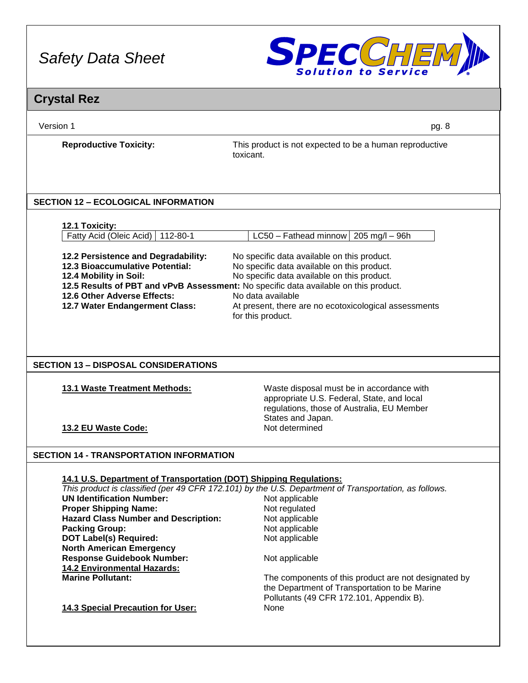

# **Crystal Rez**

Version 1 pg. 8

**Reproductive Toxicity:** This product is not expected to be a human reproductive toxicant.

# **SECTION 12 – ECOLOGICAL INFORMATION**

|   | OXICITY |
|---|---------|
| ш |         |

| Fatty Acid (Oleic Acid)   112-80-1  | $LC50 - Fathead minnow   205 mg/l - 96h$                                             |
|-------------------------------------|--------------------------------------------------------------------------------------|
|                                     |                                                                                      |
| 12.2 Persistence and Degradability: | No specific data available on this product.                                          |
| 12.3 Bioaccumulative Potential:     | No specific data available on this product.                                          |
| 12.4 Mobility in Soil:              | No specific data available on this product.                                          |
|                                     | 12.5 Results of PBT and vPvB Assessment: No specific data available on this product. |
| 12.6 Other Adverse Effects:         | No data available                                                                    |
| 12.7 Water Endangerment Class:      | At present, there are no ecotoxicological assessments                                |
|                                     | for this product.                                                                    |

# **SECTION 13 – DISPOSAL CONSIDERATIONS**

**13.1 Waste Treatment Methods:** Waste disposal must be in accordance with appropriate U.S. Federal, State, and local regulations, those of Australia, EU Member States and Japan.

**13.2 EU Waste Code:** Not determined

# **SECTION 14 - TRANSPORTATION INFORMATION**

# **14.1 U.S. Department of Transportation (DOT) Shipping Regulations:**

*This product is classified (per 49 CFR 172.101) by the U.S. Department of Transportation, as follows.* **UN Identification Number:** Not applicable

**Proper Shipping Name: Not regulated Hazard Class Number and Description:** Not applicable **Hazard Class Number and Description: Packing Group:** Not applicable **DOT Label(s) Required:** Not applicable **North American Emergency Response Guidebook Number:** Not applicable **14.2 Environmental Hazards:**

The components of this product are not designated by the Department of Transportation to be Marine Pollutants (49 CFR 172.101, Appendix B).

**14.3 Special Precaution for User:** None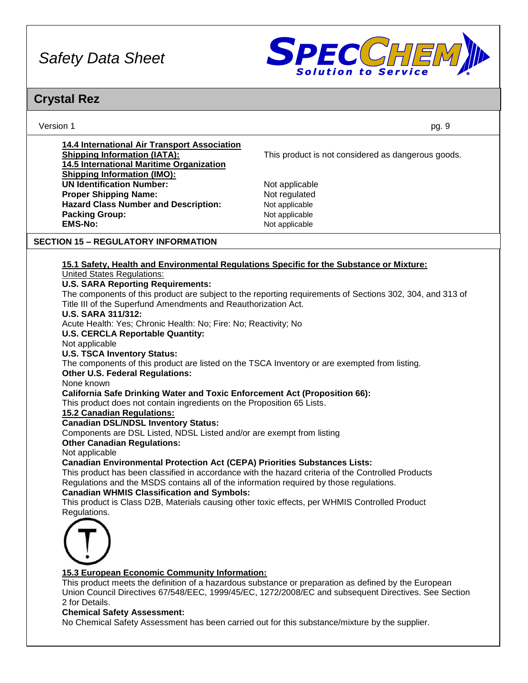

# **Crystal Rez**

Version 1 pg. 9

| 14.4 International Air Transport Association |
|----------------------------------------------|
| <b>Shipping Information (IATA):</b>          |
| 14.5 International Maritime Organization     |
| <b>Shipping Information (IMO):</b>           |
| <b>UN Identification Number:</b>             |
| <b>Proper Shipping Name:</b>                 |
| <b>Hazard Class Number and Description:</b>  |
| <b>Packing Group:</b>                        |
| <b>EMS-No:</b>                               |
|                                              |

This product is not considered as dangerous goods.

**Not applicable Not regulated Not applicable Not applicable EMS-No:** Not applicable

# **SECTION 15 – REGULATORY INFORMATION**

# **15.1 Safety, Health and Environmental Regulations Specific for the Substance or Mixture:**

United States Regulations:

### **U.S. SARA Reporting Requirements:**

The components of this product are subject to the reporting requirements of Sections 302, 304, and 313 of Title III of the Superfund Amendments and Reauthorization Act.

#### **U.S. SARA 311/312:**

Acute Health: Yes; Chronic Health: No; Fire: No; Reactivity; No

# **U.S. CERCLA Reportable Quantity:**

Not applicable

# **U.S. TSCA Inventory Status:**

The components of this product are listed on the TSCA Inventory or are exempted from listing.

### **Other U.S. Federal Regulations:**

None known

### **California Safe Drinking Water and Toxic Enforcement Act (Proposition 66):**

This product does not contain ingredients on the Proposition 65 Lists.

### **15.2 Canadian Regulations:**

### **Canadian DSL/NDSL Inventory Status:**

Components are DSL Listed, NDSL Listed and/or are exempt from listing

#### **Other Canadian Regulations:**

Not applicable

# **Canadian Environmental Protection Act (CEPA) Priorities Substances Lists:**

This product has been classified in accordance with the hazard criteria of the Controlled Products Regulations and the MSDS contains all of the information required by those regulations.

# **Canadian WHMIS Classification and Symbols:**

This product is Class D2B, Materials causing other toxic effects, per WHMIS Controlled Product Regulations.



### **15.3 European Economic Community Information:**

This product meets the definition of a hazardous substance or preparation as defined by the European Union Council Directives 67/548/EEC, 1999/45/EC, 1272/2008/EC and subsequent Directives. See Section 2 for Details.

## **Chemical Safety Assessment:**

No Chemical Safety Assessment has been carried out for this substance/mixture by the supplier.